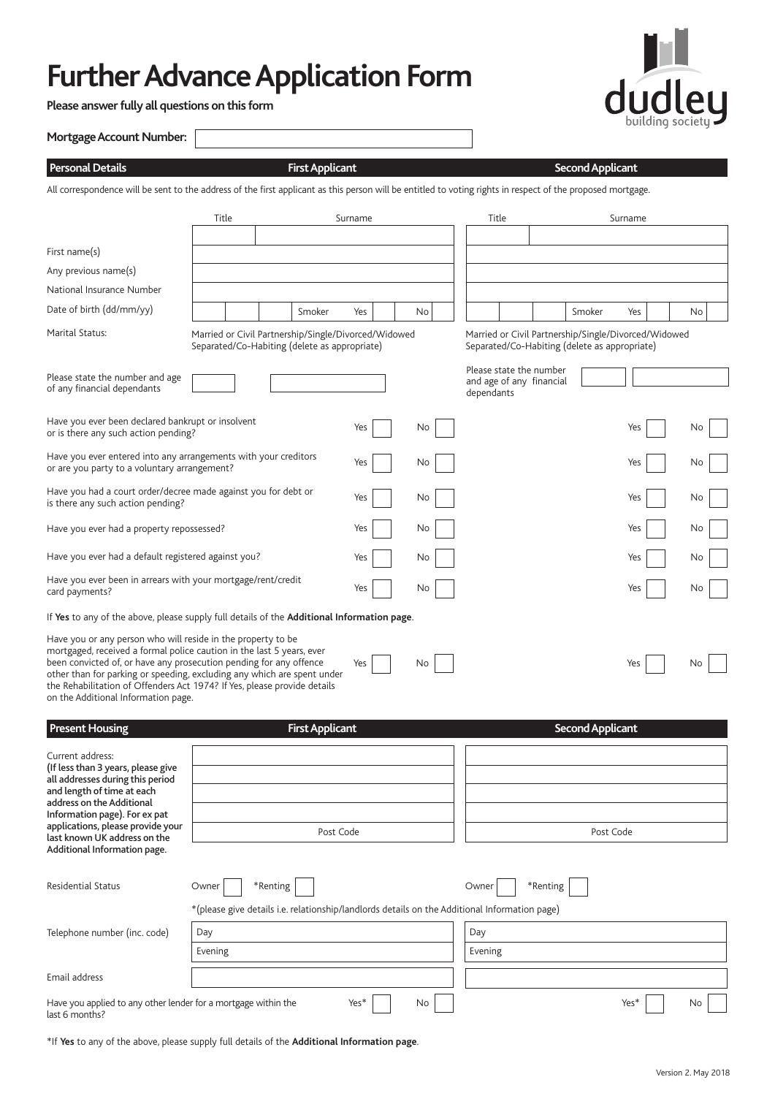# **Further Advance Application Form**

**Please answer fully all questions on this form**



| <b>Mortgage Account Number:</b> |
|---------------------------------|
|---------------------------------|

# **Personal Details First Applicant Second Applicant**

All correspondence will be sent to the address of the first applicant as this person will be entitled to voting rights in respect of the proposed mortgage.

|                                                                                                                                                                                                                                                                                                                                                                                                           | Title          |                                                                                                              | Surname |    | Title                                                                                                 |          |                         | Surname          |     |
|-----------------------------------------------------------------------------------------------------------------------------------------------------------------------------------------------------------------------------------------------------------------------------------------------------------------------------------------------------------------------------------------------------------|----------------|--------------------------------------------------------------------------------------------------------------|---------|----|-------------------------------------------------------------------------------------------------------|----------|-------------------------|------------------|-----|
|                                                                                                                                                                                                                                                                                                                                                                                                           |                |                                                                                                              |         |    |                                                                                                       |          |                         |                  |     |
| First name(s)                                                                                                                                                                                                                                                                                                                                                                                             |                |                                                                                                              |         |    |                                                                                                       |          |                         |                  |     |
| Any previous name(s)                                                                                                                                                                                                                                                                                                                                                                                      |                |                                                                                                              |         |    |                                                                                                       |          |                         |                  |     |
| National Insurance Number                                                                                                                                                                                                                                                                                                                                                                                 |                |                                                                                                              |         |    |                                                                                                       |          |                         |                  |     |
| Date of birth (dd/mm/yy)                                                                                                                                                                                                                                                                                                                                                                                  |                | Smoker                                                                                                       | Yes     | No |                                                                                                       |          | Smoker                  | Yes              | No  |
| Marital Status:                                                                                                                                                                                                                                                                                                                                                                                           |                | Married or Civil Partnership/Single/Divorced/Widowed<br>Separated/Co-Habiting (delete as appropriate)        |         |    | Married or Civil Partnership/Single/Divorced/Widowed<br>Separated/Co-Habiting (delete as appropriate) |          |                         |                  |     |
| Please state the number and age<br>of any financial dependants                                                                                                                                                                                                                                                                                                                                            |                |                                                                                                              |         |    | Please state the number<br>and age of any financial<br>dependants                                     |          |                         |                  |     |
| Have you ever been declared bankrupt or insolvent<br>or is there any such action pending?                                                                                                                                                                                                                                                                                                                 |                |                                                                                                              | Yes     | No |                                                                                                       |          |                         | Yes              | No  |
| Have you ever entered into any arrangements with your creditors<br>or are you party to a voluntary arrangement?                                                                                                                                                                                                                                                                                           |                |                                                                                                              | Yes     | No |                                                                                                       |          |                         | Yes              | No  |
| Have you had a court order/decree made against you for debt or<br>is there any such action pending?                                                                                                                                                                                                                                                                                                       |                |                                                                                                              | Yes     | No |                                                                                                       |          |                         | Yes              | No  |
| Have you ever had a property repossessed?                                                                                                                                                                                                                                                                                                                                                                 |                |                                                                                                              | Yes     | No |                                                                                                       |          |                         | Yes              | No  |
| Have you ever had a default registered against you?                                                                                                                                                                                                                                                                                                                                                       |                |                                                                                                              | Yes     | No |                                                                                                       |          |                         | Yes              | No  |
| Have you ever been in arrears with your mortgage/rent/credit<br>Yes<br>No<br>card payments?                                                                                                                                                                                                                                                                                                               |                |                                                                                                              |         |    |                                                                                                       |          | Yes                     | No               |     |
| If Yes to any of the above, please supply full details of the Additional Information page.                                                                                                                                                                                                                                                                                                                |                |                                                                                                              |         |    |                                                                                                       |          |                         |                  |     |
| Have you or any person who will reside in the property to be<br>mortgaged, received a formal police caution in the last 5 years, ever<br>been convicted of, or have any prosecution pending for any offence<br>other than for parking or speeding, excluding any which are spent under<br>the Rehabilitation of Offenders Act 1974? If Yes, please provide details<br>on the Additional Information page. |                |                                                                                                              | Yes     | No |                                                                                                       |          |                         | Yes              | No  |
| <b>Present Housing</b>                                                                                                                                                                                                                                                                                                                                                                                    |                | <b>First Applicant</b>                                                                                       |         |    |                                                                                                       |          | <b>Second Applicant</b> |                  |     |
| Current address:<br>(If less than 3 years, please give<br>all addresses during this period<br>and length of time at each<br>address on the Additional<br>Information page). For ex pat<br>applications, please provide your<br>last known UK address on the<br>Additional Information page.                                                                                                               |                | Post Code                                                                                                    |         |    |                                                                                                       |          | Post Code               |                  |     |
| <b>Residential Status</b>                                                                                                                                                                                                                                                                                                                                                                                 | Owner          | $*$ Renting<br>*(please give details i.e. relationship/landlords details on the Additional Information page) |         |    | Owner                                                                                                 | *Renting |                         |                  |     |
| Telephone number (inc. code)                                                                                                                                                                                                                                                                                                                                                                              | Day<br>Evening |                                                                                                              |         |    | Day<br>Evening                                                                                        |          |                         |                  |     |
| Email address                                                                                                                                                                                                                                                                                                                                                                                             |                |                                                                                                              |         |    |                                                                                                       |          |                         |                  |     |
| Have you applied to any other lender for a mortgage within the<br>last 6 months?                                                                                                                                                                                                                                                                                                                          |                |                                                                                                              | Yes*    | No |                                                                                                       |          |                         | Yes <sup>*</sup> | No. |

\*If **Yes** to any of the above, please supply full details of the **Additional Information page**.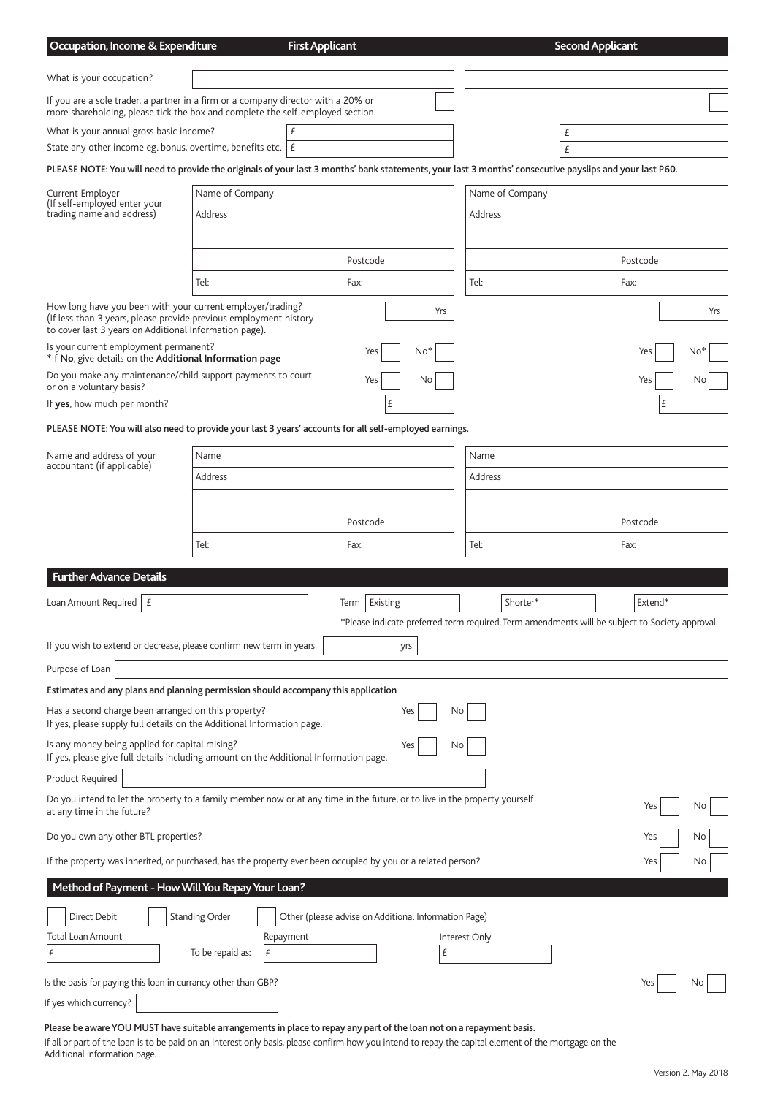| Occupation, Income & Expenditure                                                                                                                                                                                           |                            | <b>First Applicant</b>                               |                    |                            | <b>Second Applicant</b>                                                                                   |     |
|----------------------------------------------------------------------------------------------------------------------------------------------------------------------------------------------------------------------------|----------------------------|------------------------------------------------------|--------------------|----------------------------|-----------------------------------------------------------------------------------------------------------|-----|
| What is your occupation?                                                                                                                                                                                                   |                            |                                                      |                    |                            |                                                                                                           |     |
| If you are a sole trader, a partner in a firm or a company director with a 20% or<br>more shareholding, please tick the box and complete the self-employed section.                                                        |                            |                                                      |                    |                            |                                                                                                           |     |
| What is your annual gross basic income?                                                                                                                                                                                    |                            | £                                                    |                    |                            | £                                                                                                         |     |
| State any other income eg. bonus, overtime, benefits etc. $ E $<br>PLEASE NOTE: You will need to provide the originals of your last 3 months' bank statements, your last 3 months' consecutive payslips and your last P60. |                            |                                                      |                    |                            | £                                                                                                         |     |
|                                                                                                                                                                                                                            |                            |                                                      |                    |                            |                                                                                                           |     |
| Current Employer<br>(If self-employed enter your<br>trading name and address)                                                                                                                                              | Name of Company<br>Address |                                                      |                    | Name of Company<br>Address |                                                                                                           |     |
|                                                                                                                                                                                                                            |                            |                                                      |                    |                            |                                                                                                           |     |
|                                                                                                                                                                                                                            |                            | Postcode                                             |                    |                            | Postcode                                                                                                  |     |
|                                                                                                                                                                                                                            | Tel:                       | Fax:                                                 |                    | Tel:                       | Fax:                                                                                                      |     |
| How long have you been with your current employer/trading?<br>(If less than 3 years, please provide previous employment history                                                                                            |                            |                                                      | Yrs                |                            |                                                                                                           | Yrs |
| to cover last 3 years on Additional Information page).<br>Is your current employment permanent?<br>*If No, give details on the Additional Information page                                                                 |                            | Yes<br>No <sup>*</sup>                               |                    |                            | Yes<br>No <sup>*</sup>                                                                                    |     |
| Do you make any maintenance/child support payments to court                                                                                                                                                                |                            | Yes<br>No                                            |                    |                            | Yes<br>No                                                                                                 |     |
| or on a voluntary basis?<br>If yes, how much per month?                                                                                                                                                                    |                            | £                                                    |                    |                            | £                                                                                                         |     |
| PLEASE NOTE: You will also need to provide your last 3 years' accounts for all self-employed earnings.                                                                                                                     |                            |                                                      |                    |                            |                                                                                                           |     |
| Name and address of your                                                                                                                                                                                                   | Name                       |                                                      |                    | Name                       |                                                                                                           |     |
| accountant (if applicable)                                                                                                                                                                                                 | Address                    |                                                      |                    | Address                    |                                                                                                           |     |
|                                                                                                                                                                                                                            |                            |                                                      |                    |                            |                                                                                                           |     |
|                                                                                                                                                                                                                            |                            | Postcode                                             |                    |                            | Postcode                                                                                                  |     |
|                                                                                                                                                                                                                            | Tel:                       | Fax:                                                 |                    | Tel:                       | Fax:                                                                                                      |     |
|                                                                                                                                                                                                                            |                            |                                                      |                    |                            |                                                                                                           |     |
| <b>Further Advance Details</b>                                                                                                                                                                                             |                            |                                                      |                    |                            |                                                                                                           |     |
| Loan Amount Required<br>£                                                                                                                                                                                                  |                            | Existing<br>Term                                     |                    | Shorter*                   | Extend*<br>*Please indicate preferred term required. Term amendments will be subject to Society approval. |     |
| If you wish to extend or decrease, please confirm new term in years                                                                                                                                                        |                            | yrs                                                  |                    |                            |                                                                                                           |     |
| Purpose of Loan                                                                                                                                                                                                            |                            |                                                      |                    |                            |                                                                                                           |     |
| Estimates and any plans and planning permission should accompany this application                                                                                                                                          |                            |                                                      |                    |                            |                                                                                                           |     |
| Has a second charge been arranged on this property?<br>If yes, please supply full details on the Additional Information page.                                                                                              |                            | Yes                                                  | N0                 |                            |                                                                                                           |     |
| Is any money being applied for capital raising?<br>If yes, please give full details including amount on the Additional Information page.                                                                                   |                            | Yes                                                  | N0                 |                            |                                                                                                           |     |
| Product Required                                                                                                                                                                                                           |                            |                                                      |                    |                            |                                                                                                           |     |
| Do you intend to let the property to a family member now or at any time in the future, or to live in the property yourself<br>at any time in the future?                                                                   |                            |                                                      |                    |                            | Yes<br>No                                                                                                 |     |
| Do you own any other BTL properties?                                                                                                                                                                                       |                            |                                                      |                    |                            | Yes<br>No                                                                                                 |     |
| If the property was inherited, or purchased, has the property ever been occupied by you or a related person?                                                                                                               |                            |                                                      |                    |                            | Yes<br>No                                                                                                 |     |
| Method of Payment - How Will You Repay Your Loan?                                                                                                                                                                          |                            |                                                      |                    |                            |                                                                                                           |     |
| Direct Debit                                                                                                                                                                                                               | <b>Standing Order</b>      | Other (please advise on Additional Information Page) |                    |                            |                                                                                                           |     |
| Total Loan Amount<br>£                                                                                                                                                                                                     | To be repaid as:<br>£      | Repayment                                            | Interest Only<br>£ |                            |                                                                                                           |     |
| Is the basis for paying this loan in currancy other than GBP?                                                                                                                                                              |                            |                                                      |                    |                            | Yes<br>NΟ                                                                                                 |     |
| If yes which currency?                                                                                                                                                                                                     |                            |                                                      |                    |                            |                                                                                                           |     |

# Please be aware YOU MUST have suitable arrangements in place to repay any part of the loan not on a repayment basis.

If all or part of the loan is to be paid on an interest only basis, please confirm how you intend to repay the capital element of the mortgage on the Additional Information page.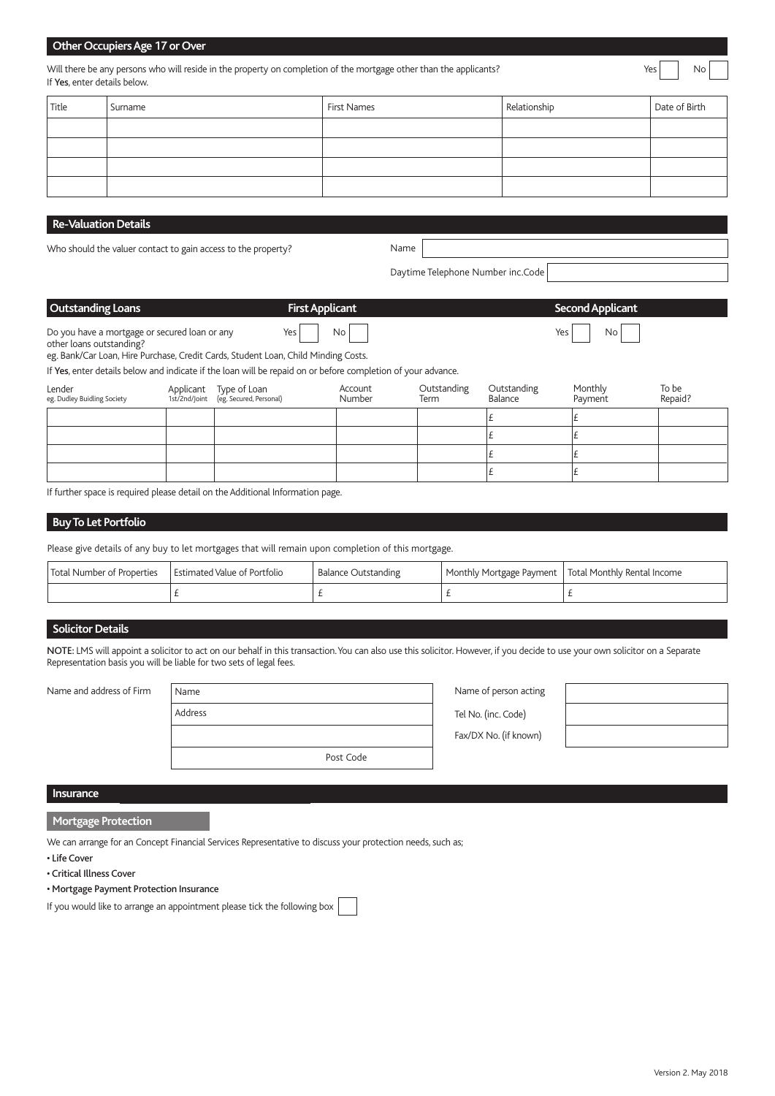# **Other Occupiers Age 17 or Over**

Will there be any persons who will reside in the property on completion of the mortgage other than the applicants? If Yes, enter details below.

| Title | Surname | First Names | Relationship | Date of Birth |
|-------|---------|-------------|--------------|---------------|
|       |         |             |              |               |
|       |         |             |              |               |
|       |         |             |              |               |
|       |         |             |              |               |

# **Re-Valuation Details**

Who should the valuer contact to gain access to the property?

 $\overline{\phantom{a}}$ Name

Daytime Telephone Number inc.Code

 $\overline{\phantom{a}}$ 

| <b>Outstanding Loans</b>                                                  | <b>First Applicant</b> | Second Applicant |
|---------------------------------------------------------------------------|------------------------|------------------|
| Do you have a mortgage or secured loan or any<br>other loans outstanding? | $Yes$ $No$             | $Yes$ $No$       |

eg. Bank/Car Loan, Hire Purchase, Credit Cards, Student Loan, Child Minding Costs.

If Yes, enter details below and indicate if the loan will be repaid on or before completion of your advance.

| Lender<br>eg. Dudley Buidling Society | Applicant Type of Loan<br>1st/2nd/Joint (eg. Secured, Personal) | Account<br>Number | Outstanding<br>Term | Outstanding<br>Balance | Monthly<br>Payment | To be<br>Repaid? |
|---------------------------------------|-----------------------------------------------------------------|-------------------|---------------------|------------------------|--------------------|------------------|
|                                       |                                                                 |                   |                     |                        |                    |                  |
|                                       |                                                                 |                   |                     |                        |                    |                  |
|                                       |                                                                 |                   |                     |                        |                    |                  |
|                                       |                                                                 |                   |                     |                        |                    |                  |

If further space is required please detail on the Additional Information page.

### **Buy To Let Portfolio**

Please give details of any buy to let mortgages that will remain upon completion of this mortgage.

| Total Number of Properties | Estimated Value of Portfolio | Balance Outstanding | Monthly Mortgage Payment   Total Monthly Rental Income |
|----------------------------|------------------------------|---------------------|--------------------------------------------------------|
|                            |                              |                     |                                                        |

# **Solicitor Details**

NOTE: LMS will appoint a solicitor to act on our behalf in this transaction. You can also use this solicitor. However, if you decide to use your own solicitor on a Separate Representation basis you will be liable for two sets of legal fees.

| Name and address of Firm | Name      | Name of person acting |  |
|--------------------------|-----------|-----------------------|--|
|                          | Address   | Tel No. (inc. Code)   |  |
|                          |           | Fax/DX No. (if known) |  |
|                          | Post Code |                       |  |

| Name of person acting |  |  |  |
|-----------------------|--|--|--|
| Tel No. (inc. Code)   |  |  |  |
| Fax/DX No. (if known) |  |  |  |



# **Insurance** Name of the Community of the Community of the Community of the Community of the Community of the Community of the Community of the Community of the Community of the Community of the Community of the Community o

#### **Mortgage Protection**

We can arrange for an Concept Financial Services Representative to discuss your protection needs, such as;

• Life Cover

• Critical Illness Cover

#### • Mortgage Payment Protection Insurance

If you would like to arrange an appointment please tick the following box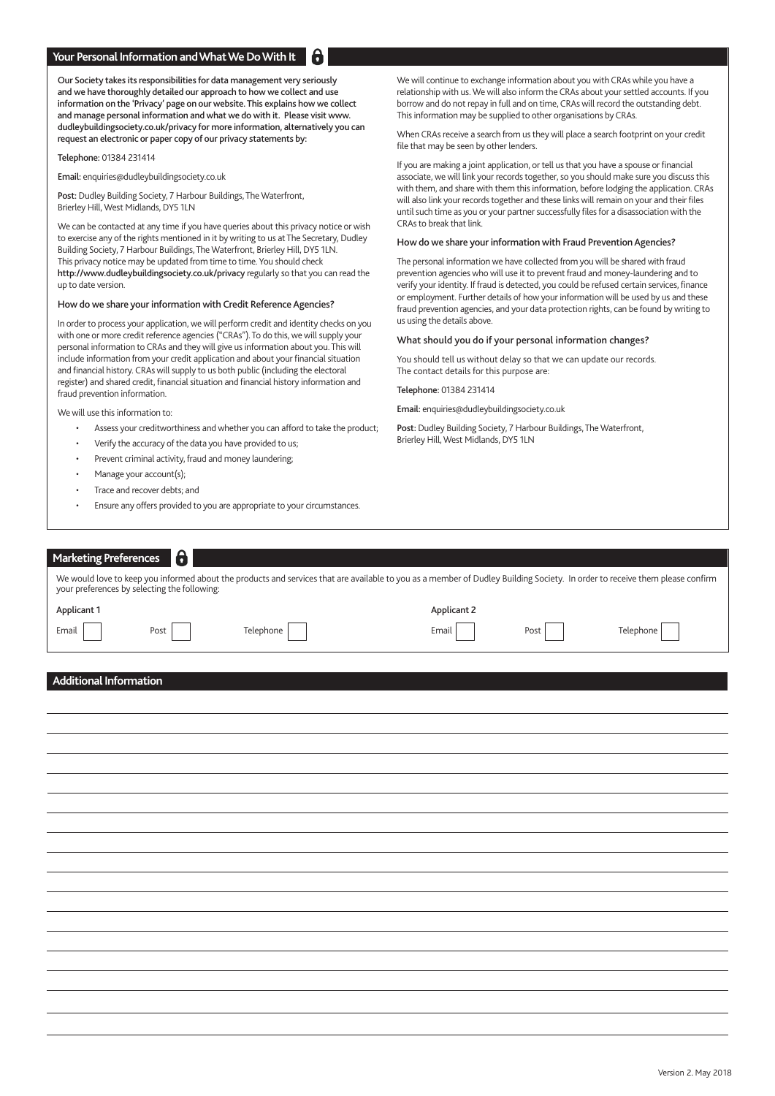#### **Your Personal Information and What We Do With It**

Our Society takes its responsibilities for data management very seriously and we have thoroughly detailed our approach to how we collect and use information on the 'Privacy' page on our website. This explains how we collect and manage personal information and what we do with it. Please visit www. dudleybuildingsociety.co.uk/privacy for more information, alternatively you can request an electronic or paper copy of our privacy statements by:

Telephone: 01384 231414

Email: enquiries@dudleybuildingsociety.co.uk

Post: Dudley Building Society, 7 Harbour Buildings, The Waterfront, Brierley Hill, West Midlands, DY5 1LN

We can be contacted at any time if you have queries about this privacy notice or wish to exercise any of the rights mentioned in it by writing to us at The Secretary, Dudley Building Society, 7 Harbour Buildings, The Waterfront, Brierley Hill, DY5 1LN. This privacy notice may be updated from time to time. You should check http://www.dudleybuildingsociety.co.uk/privacy regularly so that you can read the up to date version.

#### How do we share your information with Credit Reference Agencies?

In order to process your application, we will perform credit and identity checks on you with one or more credit reference agencies ("CRAs"). To do this, we will supply your personal information to CRAs and they will give us information about you. This will include information from your credit application and about your financial situation and financial history. CRAs will supply to us both public (including the electoral register) and shared credit, financial situation and financial history information and fraud prevention information.

We will use this information to:

- Assess your creditworthiness and whether you can afford to take the product;
- Verify the accuracy of the data you have provided to us;
- Prevent criminal activity, fraud and money laundering;
- Manage your account(s);
- Trace and recover debts; and
- Ensure any offers provided to you are appropriate to your circumstances.

We will continue to exchange information about you with CRAs while you have a relationship with us. We will also inform the CRAs about your settled accounts. If you borrow and do not repay in full and on time, CRAs will record the outstanding debt. This information may be supplied to other organisations by CRAs.

When CRAs receive a search from us they will place a search footprint on your credit file that may be seen by other lenders.

If you are making a joint application, or tell us that you have a spouse or financial associate, we will link your records together, so you should make sure you discuss this with them, and share with them this information, before lodging the application. CRAs will also link your records together and these links will remain on your and their files until such time as you or your partner successfully files for a disassociation with the CRAs to break that link.

#### How do we share your information with Fraud Prevention Agencies?

The personal information we have collected from you will be shared with fraud prevention agencies who will use it to prevent fraud and money-laundering and to verify your identity. If fraud is detected, you could be refused certain services, finance or employment. Further details of how your information will be used by us and these fraud prevention agencies, and your data protection rights, can be found by writing to us using the details above.

#### What should you do if your personal information changes?

You should tell us without delay so that we can update our records. The contact details for this purpose are:

Telephone: 01384 231414

Email: enquiries@dudleybuildingsociety.co.uk

Post: Dudley Building Society, 7 Harbour Buildings, The Waterfront, Brierley Hill, West Midlands, DY5 1LN

| <b>Marketing Preferences</b> | $\ddot{\mathbf{e}}$                          |                                                                                                                                                                              |                    |      |           |
|------------------------------|----------------------------------------------|------------------------------------------------------------------------------------------------------------------------------------------------------------------------------|--------------------|------|-----------|
|                              | your preferences by selecting the following: | We would love to keep you informed about the products and services that are available to you as a member of Dudley Building Society. In order to receive them please confirm |                    |      |           |
| Applicant 1                  |                                              |                                                                                                                                                                              | <b>Applicant 2</b> |      |           |
| Email                        | Post                                         | Telephone                                                                                                                                                                    | Email              | Post | Telephone |
| Additional Information       |                                              |                                                                                                                                                                              |                    |      |           |
|                              |                                              |                                                                                                                                                                              |                    |      |           |
|                              |                                              |                                                                                                                                                                              |                    |      |           |
|                              |                                              |                                                                                                                                                                              |                    |      |           |
|                              |                                              |                                                                                                                                                                              |                    |      |           |
|                              |                                              |                                                                                                                                                                              |                    |      |           |
|                              |                                              |                                                                                                                                                                              |                    |      |           |
|                              |                                              |                                                                                                                                                                              |                    |      |           |
|                              |                                              |                                                                                                                                                                              |                    |      |           |
|                              |                                              |                                                                                                                                                                              |                    |      |           |
|                              |                                              |                                                                                                                                                                              |                    |      |           |
|                              |                                              |                                                                                                                                                                              |                    |      |           |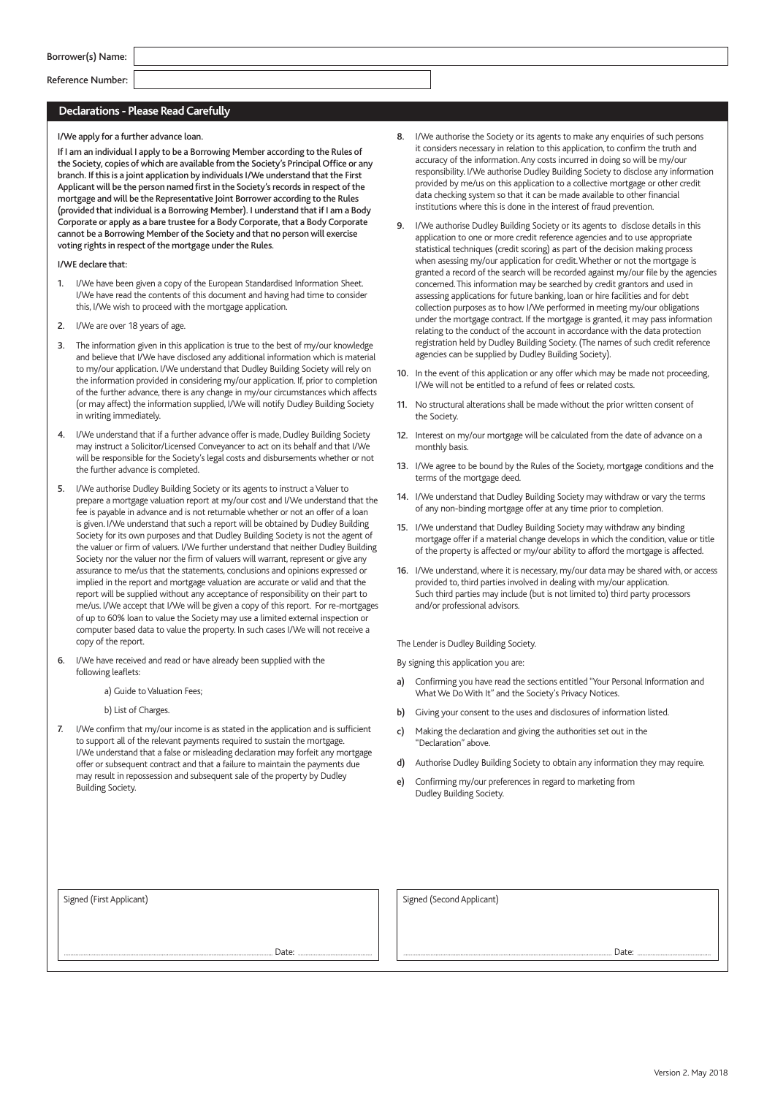| Borrower(s) Name: |  |  |
|-------------------|--|--|
|-------------------|--|--|

 $\overline{\phantom{a}}$ Reference Number:

#### **Declarations - Please Read Carefully**

 $\overline{\phantom{a}}$ 

I/We apply for a further advance loan.

If I am an individual I apply to be a Borrowing Member according to the Rules of the Society, copies of which are available from the Society's Principal Office or any branch. If this is a joint application by individuals I/We understand that the First Applicant will be the person named first in the Society's records in respect of the mortgage and will be the Representative Joint Borrower according to the Rules (provided that individual is a Borrowing Member). I understand that if I am a Body Corporate or apply as a bare trustee for a Body Corporate, that a Body Corporate cannot be a Borrowing Member of the Society and that no person will exercise voting rights in respect of the mortgage under the Rules.

I/WE declare that:

- 1. I/We have been given a copy of the European Standardised Information Sheet. I/We have read the contents of this document and having had time to consider this, I/We wish to proceed with the mortgage application.
- 2. I/We are over 18 years of age.
- 3. The information given in this application is true to the best of my/our knowledge and believe that I/We have disclosed any additional information which is material to my/our application. I/We understand that Dudley Building Society will rely on the information provided in considering my/our application. If, prior to completion of the further advance, there is any change in my/our circumstances which affects (or may affect) the information supplied, I/We will notify Dudley Building Society in writing immediately.
- 4. I/We understand that if a further advance offer is made, Dudley Building Society may instruct a Solicitor/Licensed Conveyancer to act on its behalf and that I/We will be responsible for the Society's legal costs and disbursements whether or not the further advance is completed.
- 5. I/We authorise Dudley Building Society or its agents to instruct a Valuer to prepare a mortgage valuation report at my/our cost and I/We understand that the fee is payable in advance and is not returnable whether or not an offer of a loan is given. I/We understand that such a report will be obtained by Dudley Building Society for its own purposes and that Dudley Building Society is not the agent of the valuer or firm of valuers. I/We further understand that neither Dudley Building Society nor the valuer nor the firm of valuers will warrant, represent or give any assurance to me/us that the statements, conclusions and opinions expressed or implied in the report and mortgage valuation are accurate or valid and that the report will be supplied without any acceptance of responsibility on their part to me/us. I/We accept that I/We will be given a copy of this report. For re-mortgages of up to 60% loan to value the Society may use a limited external inspection or computer based data to value the property. In such cases I/We will not receive a copy of the report.
- 6. I/We have received and read or have already been supplied with the following leaflets:

a) Guide to Valuation Fees;

b) List of Charges.

7. I/We confirm that my/our income is as stated in the application and is sufficient to support all of the relevant payments required to sustain the mortgage. I/We understand that a false or misleading declaration may forfeit any mortgage offer or subsequent contract and that a failure to maintain the payments due may result in repossession and subsequent sale of the property by Dudley Building Society.

- 8. I/We authorise the Society or its agents to make any enquiries of such persons it considers necessary in relation to this application, to confirm the truth and accuracy of the information. Any costs incurred in doing so will be my/our responsibility. I/We authorise Dudley Building Society to disclose any information provided by me/us on this application to a collective mortgage or other credit data checking system so that it can be made available to other financial institutions where this is done in the interest of fraud prevention.
- 9. I/We authorise Dudley Building Society or its agents to disclose details in this application to one or more credit reference agencies and to use appropriate statistical techniques (credit scoring) as part of the decision making process when asessing my/our application for credit. Whether or not the mortgage is granted a record of the search will be recorded against my/our file by the agencies concerned. This information may be searched by credit grantors and used in assessing applications for future banking, loan or hire facilities and for debt collection purposes as to how I/We performed in meeting my/our obligations under the mortgage contract. If the mortgage is granted, it may pass information relating to the conduct of the account in accordance with the data protection registration held by Dudley Building Society. (The names of such credit reference agencies can be supplied by Dudley Building Society).
- 10. In the event of this application or any offer which may be made not proceeding, I/We will not be entitled to a refund of fees or related costs.
- 11. No structural alterations shall be made without the prior written consent of the Society.
- 12. Interest on my/our mortgage will be calculated from the date of advance on a monthly basis.
- 13. I/We agree to be bound by the Rules of the Society, mortgage conditions and the terms of the mortgage deed.
- 14. I/We understand that Dudley Building Society may withdraw or vary the terms of any non-binding mortgage offer at any time prior to completion.
- 15. I/We understand that Dudley Building Society may withdraw any binding mortgage offer if a material change develops in which the condition, value or title of the property is affected or my/our ability to afford the mortgage is affected.
- 16. I/We understand, where it is necessary, my/our data may be shared with, or access provided to, third parties involved in dealing with my/our application. Such third parties may include (but is not limited to) third party processors and/or professional advisors.

The Lender is Dudley Building Society.

By signing this application you are:

- a) Confirming you have read the sections entitled "Your Personal Information and What We Do With It" and the Society's Privacy Notices.
- b) Giving your consent to the uses and disclosures of information listed.
- c) Making the declaration and giving the authorities set out in the "Declaration" above.
- d) Authorise Dudley Building Society to obtain any information they may require.
- e) Confirming my/our preferences in regard to marketing from Dudley Building Society.

Signed (First Applicant) Signed (Second Applicant) Signed (Second Applicant)

Date: Date: